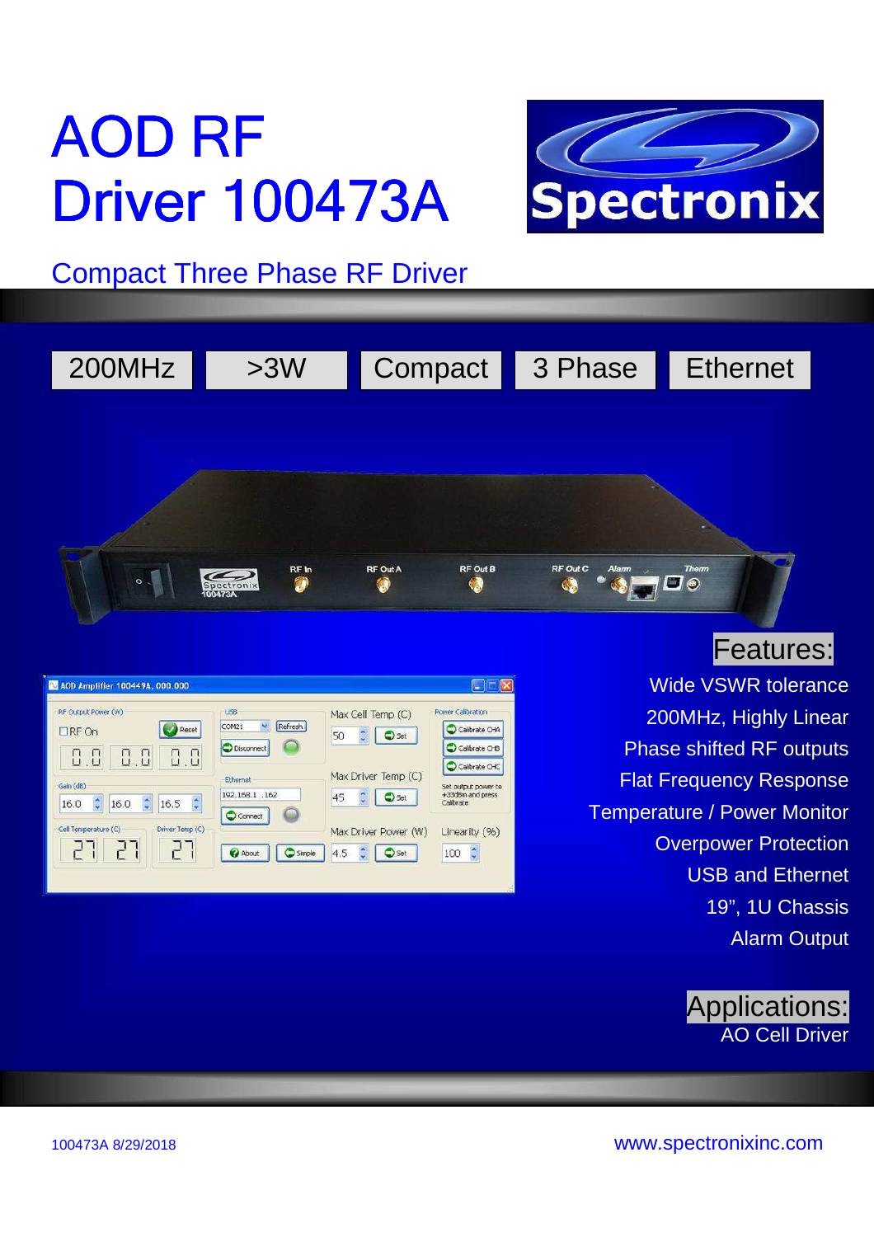# AOD RF **Driver 100473A**



Compact Three Phase RF Driver



| AV AOD Amplifier 100449A, 000.000                                                                                       |                                                     |                                                  | $\blacksquare$                                                        |
|-------------------------------------------------------------------------------------------------------------------------|-----------------------------------------------------|--------------------------------------------------|-----------------------------------------------------------------------|
| RF Output Power (W)<br>Reset<br>$\Box$ RF On<br>0, 0<br>0.0<br>0.0                                                      | USB<br>×<br>Refresh<br>COM21<br>(F)<br>O Disconnect | Max Cell Temp (C)<br>50<br>Set                   | Power Calibration<br>C Calibrate CHA<br>Colbrate CHB<br>Calibrate CHC |
| Gain (dB)<br>$\left\langle \cdot, \cdot \right\rangle$<br>$\ddot{\phantom{0}}$<br>$\hat{\cdot}$<br>16.5<br>16.0<br>16.0 | <b>Ethernet</b><br>192.168.1 .162<br>Connect        | Max Driver Temp (C)<br>45<br>Set<br>Ÿ            | Set output power to<br>+33dBm and press<br>Calibrate                  |
| Driver Temp (C)<br>Cell Temperature (C)<br>P                                                                            | About<br>Simple                                     | Max Driver Power (W)<br>4.5<br>$\Rightarrow$ Set | Linearity (%)<br>$\hat{\cdot}$<br>100                                 |

# Features:

Wide VSWR tolerance 200MHz, Highly Linear Phase shifted RF outputs Flat Frequency Response Temperature / Power Monitor Overpower Protection USB and Ethernet 19", 1U Chassis Alarm Output